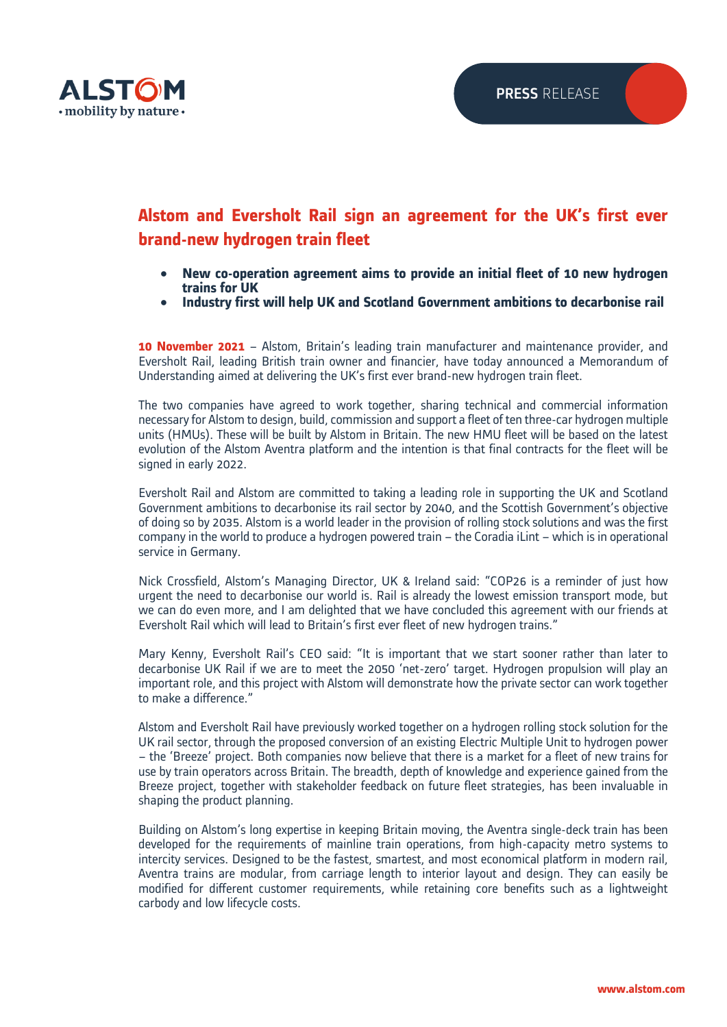

# **Alstom and Eversholt Rail sign an agreement for the UK's first ever brand-new hydrogen train fleet**

- **New co-operation agreement aims to provide an initial fleet of 10 new hydrogen trains for UK**
- **Industry first will help UK and Scotland Government ambitions to decarbonise rail**

**10 November 2021** – Alstom, Britain's leading train manufacturer and maintenance provider, and Eversholt Rail, leading British train owner and financier, have today announced a Memorandum of Understanding aimed at delivering the UK's first ever brand-new hydrogen train fleet.

The two companies have agreed to work together, sharing technical and commercial information necessary for Alstom to design, build, commission and support a fleet of ten three-car hydrogen multiple units (HMUs). These will be built by Alstom in Britain. The new HMU fleet will be based on the latest evolution of the Alstom Aventra platform and the intention is that final contracts for the fleet will be signed in early 2022.

Eversholt Rail and Alstom are committed to taking a leading role in supporting the UK and Scotland Government ambitions to decarbonise its rail sector by 2040, and the Scottish Government's objective of doing so by 2035. Alstom is a world leader in the provision of rolling stock solutions and was the first company in the world to produce a hydrogen powered train – the Coradia iLint – which is in operational service in Germany.

Nick Crossfield, Alstom's Managing Director, UK & Ireland said: "COP26 is a reminder of just how urgent the need to decarbonise our world is. Rail is already the lowest emission transport mode, but we can do even more, and I am delighted that we have concluded this agreement with our friends at Eversholt Rail which will lead to Britain's first ever fleet of new hydrogen trains."

Mary Kenny, Eversholt Rail's CEO said: "It is important that we start sooner rather than later to decarbonise UK Rail if we are to meet the 2050 'net-zero' target. Hydrogen propulsion will play an important role, and this project with Alstom will demonstrate how the private sector can work together to make a difference."

Alstom and Eversholt Rail have previously worked together on a hydrogen rolling stock solution for the UK rail sector, through the proposed conversion of an existing Electric Multiple Unit to hydrogen power – the 'Breeze' project. Both companies now believe that there is a market for a fleet of new trains for use by train operators across Britain. The breadth, depth of knowledge and experience gained from the Breeze project, together with stakeholder feedback on future fleet strategies, has been invaluable in shaping the product planning.

Building on Alstom's long expertise in keeping Britain moving, the Aventra single-deck train has been developed for the requirements of mainline train operations, from high-capacity metro systems to intercity services. Designed to be the fastest, smartest, and most economical platform in modern rail, Aventra trains are modular, from carriage length to interior layout and design. They can easily be modified for different customer requirements, while retaining core benefits such as a lightweight carbody and low lifecycle costs.